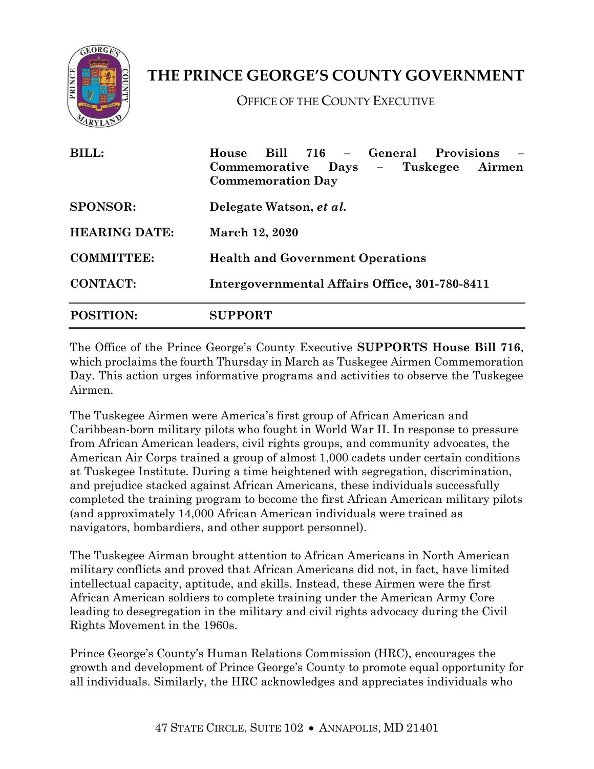

## **THE PRINCE GEORGE'S COUNTY GOVERNMENT**

OFFICE OF THE COUNTY EXECUTIVE

| <b>BILL:</b>         | House Bill 716 - General Provisions<br>Days – Tuskegee<br>Commemorative<br>Airmen<br><b>Commemoration Day</b> |
|----------------------|---------------------------------------------------------------------------------------------------------------|
| <b>SPONSOR:</b>      | Delegate Watson, et al.                                                                                       |
| <b>HEARING DATE:</b> | March 12, 2020                                                                                                |
| <b>COMMITTEE:</b>    | <b>Health and Government Operations</b>                                                                       |
| <b>CONTACT:</b>      | Intergovernmental Affairs Office, 301-780-8411                                                                |
| <b>POSITION:</b>     | <b>SUPPORT</b>                                                                                                |

The Office of the Prince George's County Executive **SUPPORTS House Bill 716**, which proclaims the fourth Thursday in March as Tuskegee Airmen Commemoration Day. This action urges informative programs and activities to observe the Tuskegee Airmen.

The Tuskegee Airmen were America's first group of African American and Caribbean-born military pilots who fought in World War II. In response to pressure from African American leaders, civil rights groups, and community advocates, the American Air Corps trained a group of almost 1,000 cadets under certain conditions at Tuskegee Institute. During a time heightened with segregation, discrimination, and prejudice stacked against African Americans, these individuals successfully completed the training program to become the first African American military pilots (and approximately 14,000 African American individuals were trained as navigators, bombardiers, and other support personnel).

The Tuskegee Airman brought attention to African Americans in North American military conflicts and proved that African Americans did not, in fact, have limited intellectual capacity, aptitude, and skills. Instead, these Airmen were the first African American soldiers to complete training under the American Army Core leading to desegregation in the military and civil rights advocacy during the Civil Rights Movement in the 1960s.

Prince George's County's Human Relations Commission (HRC), encourages the growth and development of Prince George's County to promote equal opportunity for all individuals. Similarly, the HRC acknowledges and appreciates individuals who